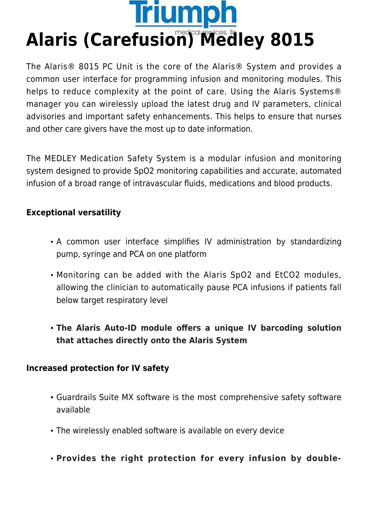

The Alaris® 8015 PC Unit is the core of the Alaris® System and provides a common user interface for programming infusion and monitoring modules. This helps to reduce complexity at the point of care. Using the Alaris Systems® manager you can wirelessly upload the latest drug and IV parameters, clinical advisories and important safety enhancements. This helps to ensure that nurses and other care givers have the most up to date information.

The MEDLEY Medication Safety System is a modular infusion and monitoring system designed to provide SpO2 monitoring capabilities and accurate, automated infusion of a broad range of intravascular fluids, medications and blood products.

## **Exceptional versatility**

- A common user interface simplifies IV administration by standardizing pump, syringe and PCA on one platform
- Monitoring can be added with the Alaris SpO2 and EtCO2 modules, allowing the clinician to automatically pause PCA infusions if patients fall below target respiratory level
- **The Alaris Auto-ID module offers a unique IV barcoding solution that attaches directly onto the Alaris System**

## **Increased protection for IV safety**

- Guardrails Suite MX software is the most comprehensive safety software available
- The wirelessly enabled software is available on every device
- **Provides the right protection for every infusion by double-**